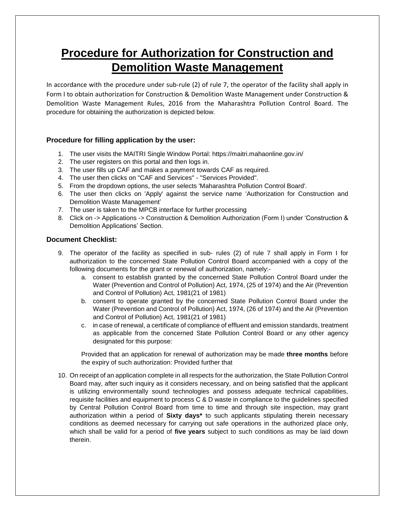# **Procedure for Authorization for Construction and Demolition Waste Management**

In accordance with the procedure under sub-rule (2) of rule 7, the operator of the facility shall apply in Form I to obtain authorization for Construction & Demolition Waste Management under Construction & Demolition Waste Management Rules, 2016 from the Maharashtra Pollution Control Board. The procedure for obtaining the authorization is depicted below.

## **Procedure for filling application by the user:**

- 1. The user visits the MAITRI Single Window Portal: https://maitri.mahaonline.gov.in/
- 2. The user registers on this portal and then logs in.
- 3. The user fills up CAF and makes a payment towards CAF as required.
- 4. The user then clicks on "CAF and Services" "Services Provided".
- 5. From the dropdown options, the user selects 'Maharashtra Pollution Control Board'.
- 6. The user then clicks on 'Apply' against the service name 'Authorization for Construction and Demolition Waste Management'
- 7. The user is taken to the MPCB interface for further processing
- 8. Click on -> Applications -> Construction & Demolition Authorization (Form I) under 'Construction & Demolition Applications' Section.

### **Document Checklist:**

- 9. The operator of the facility as specified in sub- rules (2) of rule 7 shall apply in Form I for authorization to the concerned State Pollution Control Board accompanied with a copy of the following documents for the grant or renewal of authorization, namely:
	- a. consent to establish granted by the concerned State Pollution Control Board under the Water (Prevention and Control of Pollution) Act, 1974, (25 of 1974) and the Air (Prevention and Control of Pollution) Act, 1981(21 of 1981)
	- b. consent to operate granted by the concerned State Pollution Control Board under the Water (Prevention and Control of Pollution) Act, 1974, (26 of 1974) and the Air (Prevention and Control of Pollution) Act, 1981(21 of 1981)
	- c. in case of renewal, a certificate of compliance of effluent and emission standards, treatment as applicable from the concerned State Pollution Control Board or any other agency designated for this purpose:

Provided that an application for renewal of authorization may be made **three months** before the expiry of such authorization: Provided further that

10. On receipt of an application complete in all respects for the authorization, the State Pollution Control Board may, after such inquiry as it considers necessary, and on being satisfied that the applicant is utilizing environmentally sound technologies and possess adequate technical capabilities, requisite facilities and equipment to process C & D waste in compliance to the guidelines specified by Central Pollution Control Board from time to time and through site inspection, may grant authorization within a period of **Sixty days\*** to such applicants stipulating therein necessary conditions as deemed necessary for carrying out safe operations in the authorized place only, which shall be valid for a period of **five years** subject to such conditions as may be laid down therein.